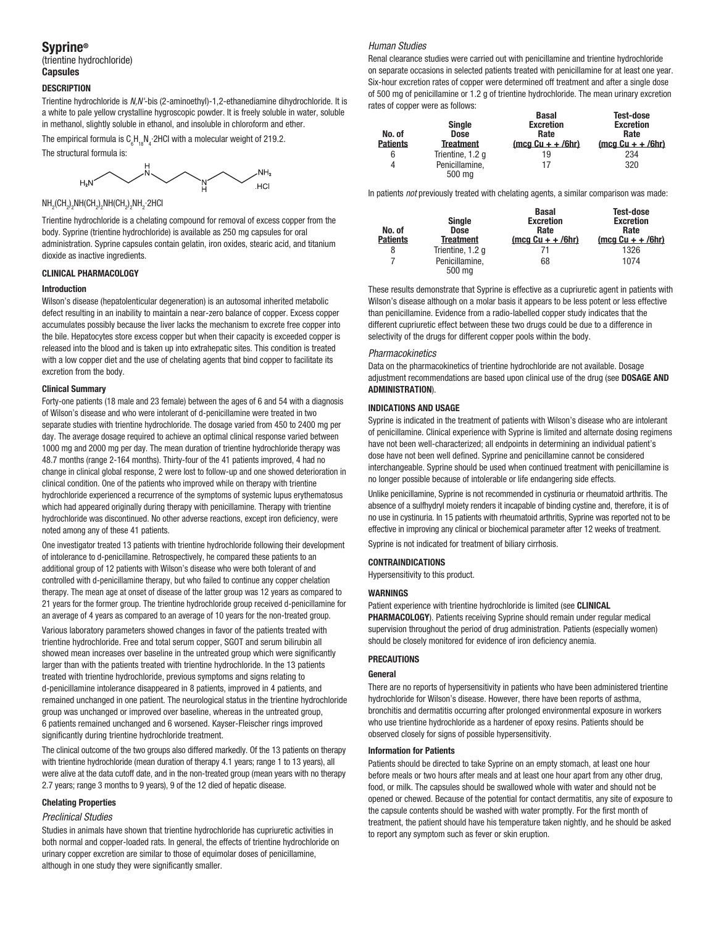# Syprine®

(trientine hydrochloride) **Capsules** 

## **DESCRIPTION**

Trientine hydrochloride is *N,N'*-bis (2-aminoethyl)-1,2-ethanediamine dihydrochloride. It is a white to pale yellow crystalline hygroscopic powder. It is freely soluble in water, soluble in methanol, slightly soluble in ethanol, and insoluble in chloroform and ether.

The empirical formula is  ${\sf C}_{\!6}{\sf H}_{18}{\sf N}_4$  2HCI with a molecular weight of 219.2.

The structural formula is:



 $\mathsf{NH}_2(\mathsf{CH}_2)_2\mathsf{NH}(\mathsf{CH}_2)_2\mathsf{NH}(\mathsf{CH}_2)_2\mathsf{NH}_2$ ·2HCl

Trientine hydrochloride is a chelating compound for removal of excess copper from the body. Syprine (trientine hydrochloride) is available as 250 mg capsules for oral administration. Syprine capsules contain gelatin, iron oxides, stearic acid, and titanium dioxide as inactive ingredients.

## CLINICAL PHARMACOLOGY

## Introduction

Wilson's disease (hepatolenticular degeneration) is an autosomal inherited metabolic defect resulting in an inability to maintain a near-zero balance of copper. Excess copper accumulates possibly because the liver lacks the mechanism to excrete free copper into the bile. Hepatocytes store excess copper but when their capacity is exceeded copper is released into the blood and is taken up into extrahepatic sites. This condition is treated with a low copper diet and the use of chelating agents that bind copper to facilitate its excretion from the body.

#### Clinical Summary

Forty-one patients (18 male and 23 female) between the ages of 6 and 54 with a diagnosis of Wilson's disease and who were intolerant of d-penicillamine were treated in two separate studies with trientine hydrochloride. The dosage varied from 450 to 2400 mg per day. The average dosage required to achieve an optimal clinical response varied between 1000 mg and 2000 mg per day. The mean duration of trientine hydrochloride therapy was 48.7 months (range 2-164 months). Thirty-four of the 41 patients improved, 4 had no change in clinical global response, 2 were lost to follow-up and one showed deterioration in clinical condition. One of the patients who improved while on therapy with trientine hydrochloride experienced a recurrence of the symptoms of systemic lupus erythematosus which had appeared originally during therapy with penicillamine. Therapy with trientine hydrochloride was discontinued. No other adverse reactions, except iron deficiency, were noted among any of these 41 patients.

One investigator treated 13 patients with trientine hydrochloride following their development of intolerance to d-penicillamine. Retrospectively, he compared these patients to an additional group of 12 patients with Wilson's disease who were both tolerant of and controlled with d-penicillamine therapy, but who failed to continue any copper chelation therapy. The mean age at onset of disease of the latter group was 12 years as compared to 21 years for the former group. The trientine hydrochloride group received d-penicillamine for an average of 4 years as compared to an average of 10 years for the non-treated group.

Various laboratory parameters showed changes in favor of the patients treated with trientine hydrochloride. Free and total serum copper, SGOT and serum bilirubin all showed mean increases over baseline in the untreated group which were significantly larger than with the patients treated with trientine hydrochloride. In the 13 patients treated with trientine hydrochloride, previous symptoms and signs relating to d-penicillamine intolerance disappeared in 8 patients, improved in 4 patients, and remained unchanged in one patient. The neurological status in the trientine hydrochloride group was unchanged or improved over baseline, whereas in the untreated group, 6 patients remained unchanged and 6 worsened. Kayser-Fleischer rings improved significantly during trientine hydrochloride treatment.

The clinical outcome of the two groups also differed markedly. Of the 13 patients on therapy with trientine hydrochloride (mean duration of therapy 4.1 years; range 1 to 13 years), all were alive at the data cutoff date, and in the non-treated group (mean years with no therapy 2.7 years; range 3 months to 9 years), 9 of the 12 died of hepatic disease.

## Chelating Properties

## *Preclinical Studies*

Studies in animals have shown that trientine hydrochloride has cupriuretic activities in both normal and copper-loaded rats. In general, the effects of trientine hydrochloride on urinary copper excretion are similar to those of equimolar doses of penicillamine, although in one study they were significantly smaller.

## *Human Studies*

Renal clearance studies were carried out with penicillamine and trientine hydrochloride on separate occasions in selected patients treated with penicillamine for at least one year. Six-hour excretion rates of copper were determined off treatment and after a single dose of 500 mg of penicillamine or 1.2 g of trientine hydrochloride. The mean urinary excretion rates of copper were as follows:

| No. of<br><b>Patients</b> | <b>Single</b><br><b>Dose</b><br>Treatment | <b>Basal</b><br><b>Excretion</b><br>Rate<br>$(mod Cu + +/6hr)$ | <b>Test-dose</b><br><b>Excretion</b><br>Rate<br>$(mod Cu + +/6hr)$ |
|---------------------------|-------------------------------------------|----------------------------------------------------------------|--------------------------------------------------------------------|
| 6                         | Trientine, 1.2 q                          | 19                                                             | 234                                                                |
| 4                         | Penicillamine.<br>500 mg                  | 17                                                             | 320                                                                |

In patients *not* previously treated with chelating agents, a similar comparison was made:

| No. of<br><b>Patients</b> | <b>Single</b><br><b>Dose</b><br><b>Treatment</b> | Basal<br><b>Excretion</b><br>Rate<br>(mcg $Cu + + /6hr$ ) | <b>Test-dose</b><br><b>Excretion</b><br>Rate<br>$(mca Cu + + /6hr)$ |
|---------------------------|--------------------------------------------------|-----------------------------------------------------------|---------------------------------------------------------------------|
| 8                         | Trientine, 1.2 g                                 | 71                                                        | 1326                                                                |
|                           | Penicillamine.<br>500 mg                         | 68                                                        | 1074                                                                |

These results demonstrate that Syprine is effective as a cupriuretic agent in patients with Wilson's disease although on a molar basis it appears to be less potent or less effective than penicillamine. Evidence from a radio-labelled copper study indicates that the different cupriuretic effect between these two drugs could be due to a difference in selectivity of the drugs for different copper pools within the body.

#### *Pharmacokinetics*

Data on the pharmacokinetics of trientine hydrochloride are not available. Dosage adjustment recommendations are based upon clinical use of the drug (see DOSAGE AND ADMINISTRATION).

## INDICATIONS AND USAGE

Syprine is indicated in the treatment of patients with Wilson's disease who are intolerant of penicillamine. Clinical experience with Syprine is limited and alternate dosing regimens have not been well-characterized; all endpoints in determining an individual patient's dose have not been well defined. Syprine and penicillamine cannot be considered interchangeable. Syprine should be used when continued treatment with penicillamine is no longer possible because of intolerable or life endangering side effects.

Unlike penicillamine, Syprine is not recommended in cystinuria or rheumatoid arthritis. The absence of a sulfhydryl moiety renders it incapable of binding cystine and, therefore, it is of no use in cystinuria. In 15 patients with rheumatoid arthritis, Syprine was reported not to be effective in improving any clinical or biochemical parameter after 12 weeks of treatment.

Syprine is not indicated for treatment of biliary cirrhosis.

## CONTRAINDICATIONS

Hypersensitivity to this product.

## WARNINGS

Patient experience with trientine hydrochloride is limited (see CLINICAL PHARMACOLOGY). Patients receiving Syprine should remain under regular medical supervision throughout the period of drug administration. Patients (especially women) should be closely monitored for evidence of iron deficiency anemia.

## PRECAUTIONS

## General

There are no reports of hypersensitivity in patients who have been administered trientine hydrochloride for Wilson's disease. However, there have been reports of asthma, bronchitis and dermatitis occurring after prolonged environmental exposure in workers who use trientine hydrochloride as a hardener of epoxy resins. Patients should be observed closely for signs of possible hypersensitivity.

## Information for Patients

Patients should be directed to take Syprine on an empty stomach, at least one hour before meals or two hours after meals and at least one hour apart from any other drug, food, or milk. The capsules should be swallowed whole with water and should not be opened or chewed. Because of the potential for contact dermatitis, any site of exposure to the capsule contents should be washed with water promptly. For the first month of treatment, the patient should have his temperature taken nightly, and he should be asked to report any symptom such as fever or skin eruption.